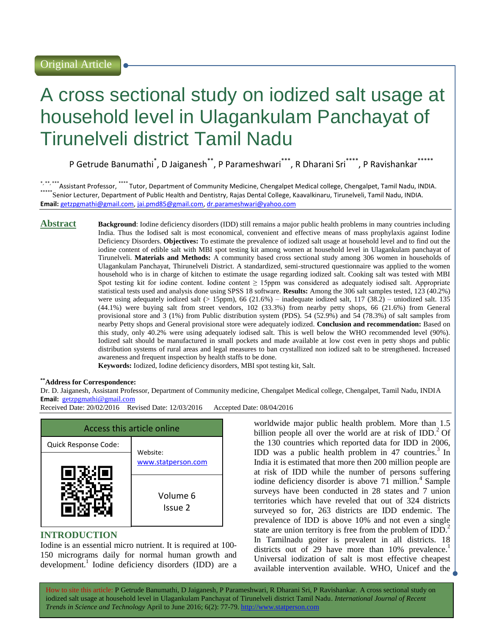# A cross sectional study on iodized salt usage at household level in Ulagankulam Panchayat of Tirunelveli district Tamil Nadu

P Getrude Banumathi<sup>\*</sup>, D Jaiganesh<sup>\*\*</sup>, P Parameshwari<sup>\*\*\*</sup>, R Dharani Sri<sup>\*\*\*\*</sup>, P Ravishankar<sup>\*\*\*\*\*</sup>

\*, \*\*, \*\*\* Assistant Professor, \*\*\*\* Tutor, Department of Community Medicine, Chengalpet Medical college, Chengalpet, Tamil Nadu, INDIA. \*\*\*\*\*Senior Lecturer, Department of Public Health and Dentistry, Rajas Dental College, Kaavalkinaru, Tirunelveli, Tamil Nadu, INDIA. **Email:** [getzpgmathi@gmail.com,](getzpgmathi@gmail.com) [jai.pmd85@gmail.com,](jai.pmd85@gmail.com)<dr.parameshwari@yahoo.com>

**Abstract Background**: Iodine deficiency disorders (IDD) still remains a major public health problems in many countries including India. Thus the Iodised salt is most economical, convenient and effective means of mass prophylaxis against Iodine Deficiency Disorders. **Objectives:** To estimate the prevalence of iodized salt usage at household level and to find out the iodine content of edible salt with MBI spot testing kit among women at household level in Ulagankulam panchayat of Tirunelveli. **Materials and Methods:** A community based cross sectional study among 306 women in households of Ulagankulam Panchayat, Thirunelveli District. A standardized, semi-structured questionnaire was applied to the women household who is in charge of kitchen to estimate the usage regarding iodized salt. Cooking salt was tested with MBI Spot testing kit for iodine content. Iodine content ≥ 15ppm was considered as adequately iodised salt. Appropriate statistical tests used and analysis done using SPSS 18 software. **Results:** Among the 306 salt samples tested, 123 (40.2%) were using adequately iodized salt (> 15ppm), 66 (21.6%) – inadequate iodized salt, 117 (38.2) – uniodized salt. 135 (44.1%) were buying salt from street vendors, 102 (33.3%) from nearby petty shops, 66 (21.6%) from General provisional store and 3 (1%) from Public distribution system (PDS). 54 (52.9%) and 54 (78.3%) of salt samples from nearby Petty shops and General provisional store were adequately iodized. **Conclusion and recommendation:** Based on this study, only 40.2% were using adequately iodised salt. This is well below the WHO recommended level (90%). Iodized salt should be manufactured in small pockets and made available at low cost even in petty shops and public distribution systems of rural areas and legal measures to ban crystallized non iodized salt to be strengthened. Increased awareness and frequent inspection by health staffs to be done. **Keywords:** Iodized, Iodine deficiency disorders, MBI spot testing kit, Salt.

#### **\*\*Address for Correspondence:**

Dr. D. Jaiganesh, Assistant Professor, Department of Community medicine, Chengalpet Medical college, Chengalpet, Tamil Nadu, INDIA **Email:** <getzpgmathi@gmail.com>

Received Date: 20/02/2016 Revised Date: 12/03/2016 Accepted Date: 08/04/2016



## **INTRODUCTION**

Iodine is an essential micro nutrient. It is required at 100- 150 micrograms daily for normal human growth and development.<sup>1</sup> Iodine deficiency disorders (IDD) are a worldwide major public health problem. More than 1.5 billion people all over the world are at risk of  $IDD<sup>2</sup>$  Of the 130 countries which reported data for IDD in 2006, IDD was a public health problem in 47 countries.<sup>3</sup> In India it is estimated that more then 200 million people are at risk of IDD while the number of persons suffering iodine deficiency disorder is above  $71$  million.<sup>4</sup> Sample surveys have been conducted in 28 states and 7 union territories which have reveled that out of 324 districts surveyed so for, 263 districts are IDD endemic. The prevalence of IDD is above 10% and not even a single state are union territory is free from the problem of  $IDD<sup>2</sup>$ . In Tamilnadu goiter is prevalent in all districts. 18 districts out of 29 have more than  $10\%$  prevalence.<sup>1</sup> Universal iodization of salt is most effective cheapest available intervention available. WHO, Unicef and the

How to site this article: P Getrude Banumathi, D Jaiganesh, P Parameshwari, R Dharani Sri, P Ravishankar*.* A cross sectional study on iodized salt usage at household level in Ulagankulam Panchayat of Tirunelveli district Tamil Nadu. *International Journal of Recent Trends in Science and Technology* April to June 2016; 6(2): 77-79. http://www.statperson.com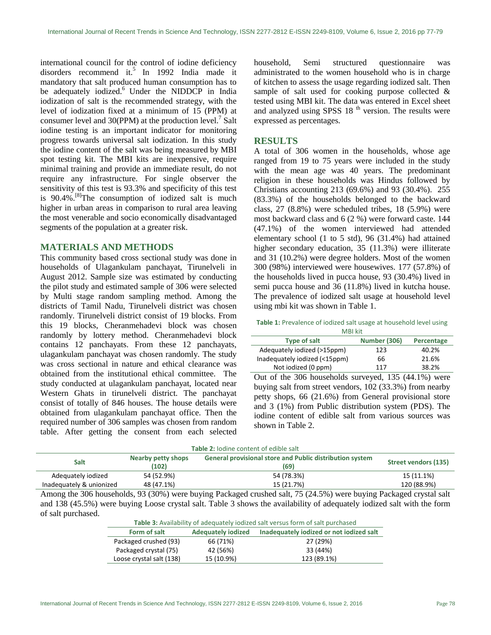international council for the control of iodine deficiency disorders recommend it.<sup>5</sup> In 1992 India made it mandatory that salt produced human consumption has to be adequately iodized.<sup>6</sup> Under the NIDDCP in India iodization of salt is the recommended strategy, with the level of iodization fixed at a minimum of 15 (PPM) at consumer level and  $30(PPM)$  at the production level.<sup>7</sup> Salt iodine testing is an important indicator for monitoring progress towards universal salt iodization. In this study the iodine content of the salt was being measured by MBI spot testing kit. The MBI kits are inexpensive, require minimal training and provide an immediate result, do not require any infrastructure. For single observer the sensitivity of this test is 93.3% and specificity of this test is  $90.4\%$ .<sup>[8]</sup>The consumption of iodized salt is much higher in urban areas in comparison to rural area leaving the most venerable and socio economically disadvantaged segments of the population at a greater risk.

### **MATERIALS AND METHODS**

This community based cross sectional study was done in households of Ulagankulam panchayat, Tirunelveli in August 2012. Sample size was estimated by conducting the pilot study and estimated sample of 306 were selected by Multi stage random sampling method. Among the districts of Tamil Nadu, Tirunelveli district was chosen randomly. Tirunelveli district consist of 19 blocks. From this 19 blocks, Cheranmehadevi block was chosen randomly by lottery method. Cheranmehadevi block contains 12 panchayats. From these 12 panchayats, ulagankulam panchayat was chosen randomly. The study was cross sectional in nature and ethical clearance was obtained from the institutional ethical committee. The study conducted at ulagankulam panchayat, located near Western Ghats in tirunelveli district. The panchayat consist of totally of 846 houses. The house details were obtained from ulagankulam panchayat office. Then the required number of 306 samples was chosen from random table. After getting the consent from each selected household, Semi structured questionnaire was administrated to the women household who is in charge of kitchen to assess the usage regarding iodized salt. Then sample of salt used for cooking purpose collected & tested using MBI kit. The data was entered in Excel sheet and analyzed using SPSS  $18<sup>th</sup>$  version. The results were expressed as percentages.

## **RESULTS**

A total of 306 women in the households, whose age ranged from 19 to 75 years were included in the study with the mean age was 40 years. The predominant religion in these households was Hindus followed by Christians accounting 213 (69.6%) and 93 (30.4%). 255 (83.3%) of the households belonged to the backward class, 27 (8.8%) were scheduled tribes, 18 (5.9%) were most backward class and 6 (2 %) were forward caste. 144 (47.1%) of the women interviewed had attended elementary school (1 to 5 std), 96 (31.4%) had attained higher secondary education, 35 (11.3%) were illiterate and 31 (10.2%) were degree holders. Most of the women 300 (98%) interviewed were housewives. 177 (57.8%) of the households lived in pucca house, 93 (30.4%) lived in semi pucca house and 36 (11.8%) lived in kutcha house. The prevalence of iodized salt usage at household level using mbi kit was shown in Table 1.

| <b>Table 1:</b> Prevalence of iodized salt usage at household level using |
|---------------------------------------------------------------------------|
| <b>MBI kit</b>                                                            |

| <b>IVIBI KIL</b>              |                     |            |  |  |  |
|-------------------------------|---------------------|------------|--|--|--|
| <b>Type of salt</b>           | <b>Number (306)</b> | Percentage |  |  |  |
| Adequately iodized (>15ppm)   | 123                 | 40.2%      |  |  |  |
| Inadequately iodized (<15ppm) | 66                  | 21.6%      |  |  |  |
| Not iodized (0 ppm)           | 117                 | 38.2%      |  |  |  |

Out of the 306 households surveyed, 135 (44.1%) were buying salt from street vendors, 102 (33.3%) from nearby petty shops, 66 (21.6%) from General provisional store and 3 (1%) from Public distribution system (PDS). The iodine content of edible salt from various sources was shown in Table 2.

|  |  |  |  | <b>Table 2: lodine content of edible salt</b> |  |
|--|--|--|--|-----------------------------------------------|--|
|--|--|--|--|-----------------------------------------------|--|

| <b>TODIC 4.</b> TOUTHE COTTLETIE OF CUIDIC 30TE |                             |                                                                                                                                                                                                                                                                                                                                                                                                                                                                                                      |                             |  |
|-------------------------------------------------|-----------------------------|------------------------------------------------------------------------------------------------------------------------------------------------------------------------------------------------------------------------------------------------------------------------------------------------------------------------------------------------------------------------------------------------------------------------------------------------------------------------------------------------------|-----------------------------|--|
| Salt                                            | Nearby petty shops<br>(102) | <b>General provisional store and Public distribution system</b><br>(69)                                                                                                                                                                                                                                                                                                                                                                                                                              | <b>Street vendors (135)</b> |  |
| Adequately iodized                              | 54 (52.9%)                  | 54 (78.3%)                                                                                                                                                                                                                                                                                                                                                                                                                                                                                           | 15 (11.1%)                  |  |
| Inadequately & unionized                        | 48 (47.1%)                  | 15 (21.7%)                                                                                                                                                                                                                                                                                                                                                                                                                                                                                           | 120 (88.9%)                 |  |
| $\sim$ 0.0 $\sim$ 1                             | 0.0100000                   | $\blacksquare$ $\blacksquare$ $\blacksquare$ $\blacksquare$ $\blacksquare$ $\blacksquare$ $\blacksquare$ $\blacksquare$ $\blacksquare$ $\blacksquare$ $\blacksquare$ $\blacksquare$ $\blacksquare$ $\blacksquare$ $\blacksquare$ $\blacksquare$ $\blacksquare$ $\blacksquare$ $\blacksquare$ $\blacksquare$ $\blacksquare$ $\blacksquare$ $\blacksquare$ $\blacksquare$ $\blacksquare$ $\blacksquare$ $\blacksquare$ $\blacksquare$ $\blacksquare$ $\blacksquare$ $\blacksquare$ $\blacks$<br>$\sim$ |                             |  |

Among the 306 households, 93 (30%) were buying Packaged crushed salt, 75 (24.5%) were buying Packaged crystal salt and 138 (45.5%) were buying Loose crystal salt. Table 3 shows the availability of adequately iodized salt with the form of salt purchased.

| Table 3: Availability of adequately iodized salt versus form of salt purchased |                           |                                          |  |  |
|--------------------------------------------------------------------------------|---------------------------|------------------------------------------|--|--|
| Form of salt                                                                   | <b>Adequately iodized</b> | Inadequately iodized or not iodized salt |  |  |
| Packaged crushed (93)                                                          | 66 (71%)                  | 27 (29%)                                 |  |  |
| Packaged crystal (75)                                                          | 42 (56%)                  | 33 (44%)                                 |  |  |
| Loose crystal salt (138)                                                       | 15 (10.9%)                | 123 (89.1%)                              |  |  |